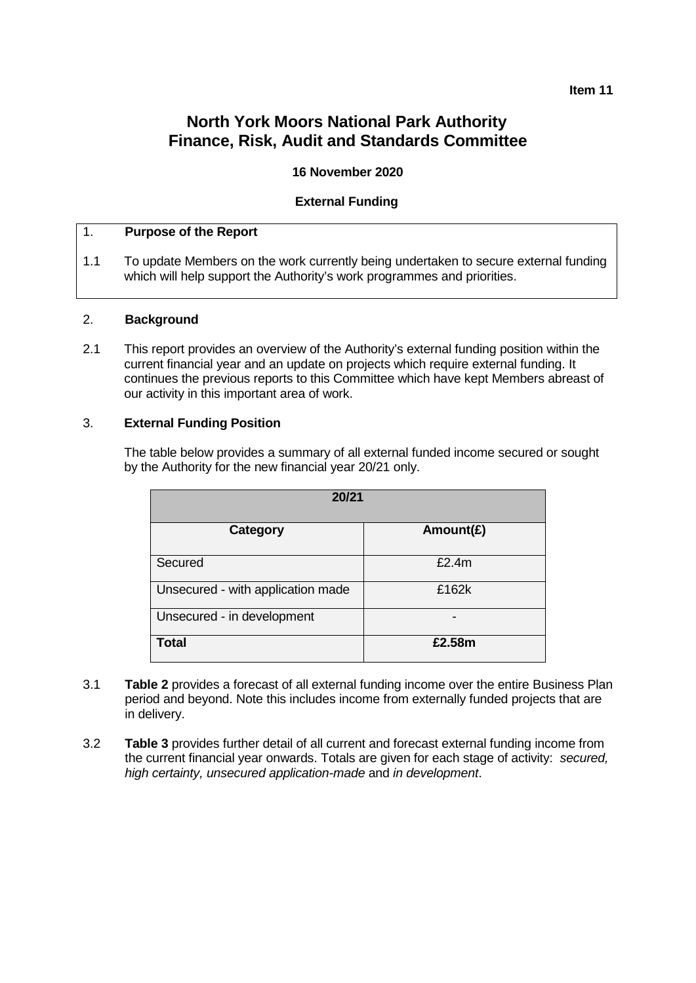# **North York Moors National Park Authority Finance, Risk, Audit and Standards Committee**

#### **16 November 2020**

#### **External Funding**

#### 1. **Purpose of the Report**

1.1 To update Members on the work currently being undertaken to secure external funding which will help support the Authority's work programmes and priorities.

#### 2. **Background**

2.1 This report provides an overview of the Authority's external funding position within the current financial year and an update on projects which require external funding. It continues the previous reports to this Committee which have kept Members abreast of our activity in this important area of work.

#### 3. **External Funding Position**

The table below provides a summary of all external funded income secured or sought by the Authority for the new financial year 20/21 only.

| 20/21                             |              |  |  |  |  |
|-----------------------------------|--------------|--|--|--|--|
| Category                          | Amount $(E)$ |  |  |  |  |
| Secured                           | £2.4m        |  |  |  |  |
| Unsecured - with application made | £162k        |  |  |  |  |
| Unsecured - in development        |              |  |  |  |  |
| <b>Total</b>                      | £2.58m       |  |  |  |  |

- 3.1 **Table 2** provides a forecast of all external funding income over the entire Business Plan period and beyond. Note this includes income from externally funded projects that are in delivery.
- 3.2 **Table 3** provides further detail of all current and forecast external funding income from the current financial year onwards. Totals are given for each stage of activity: *secured, high certainty, unsecured application-made* and *in development*.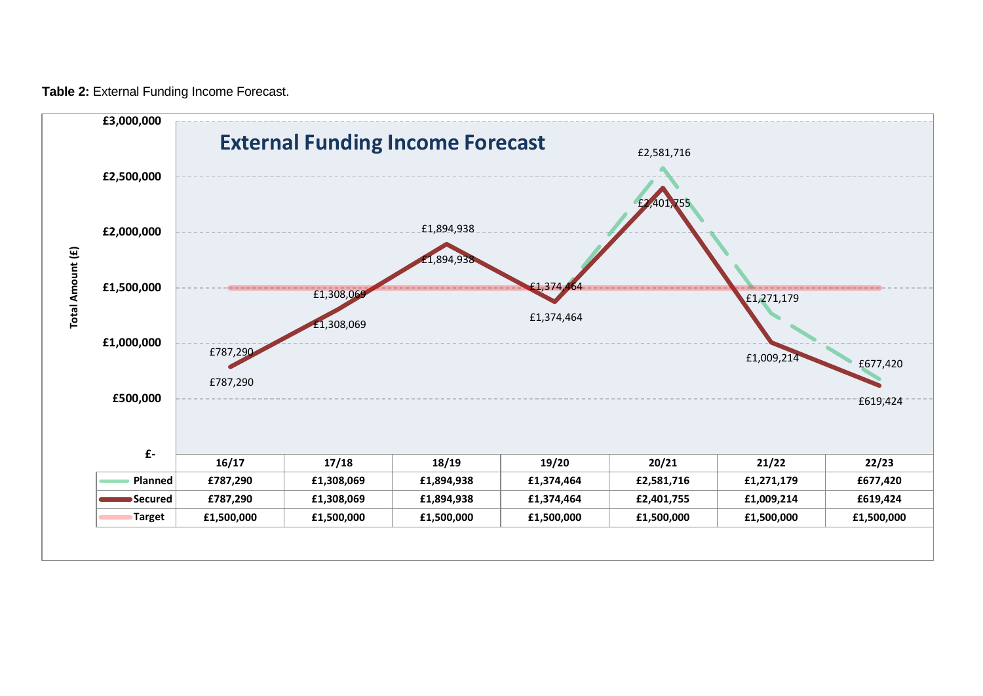**Table 2:** External Funding Income Forecast.

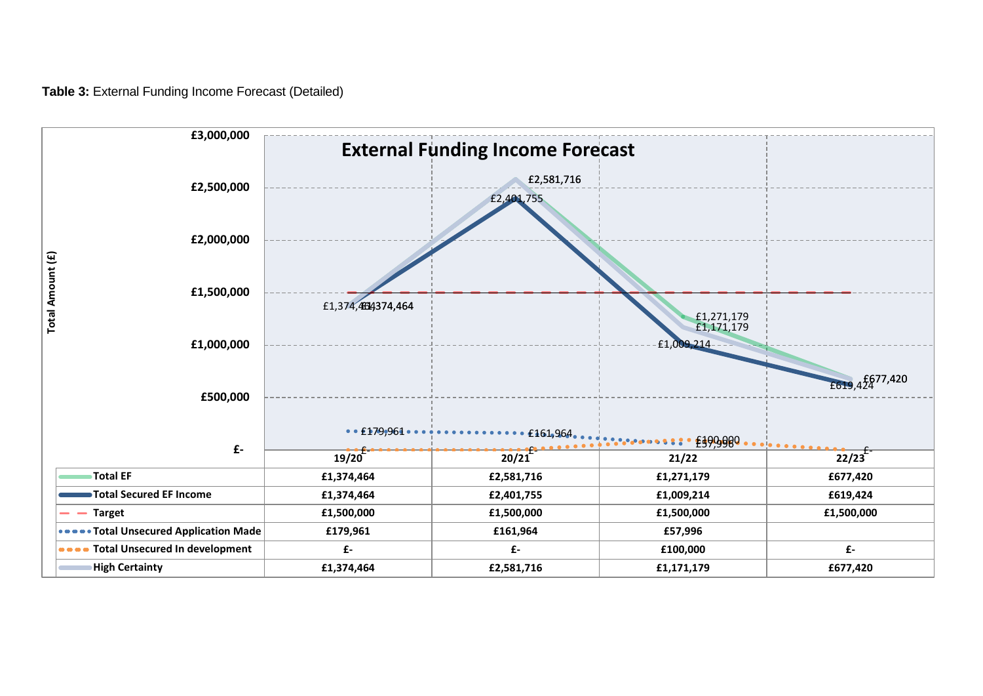**Table 3:** External Funding Income Forecast (Detailed)

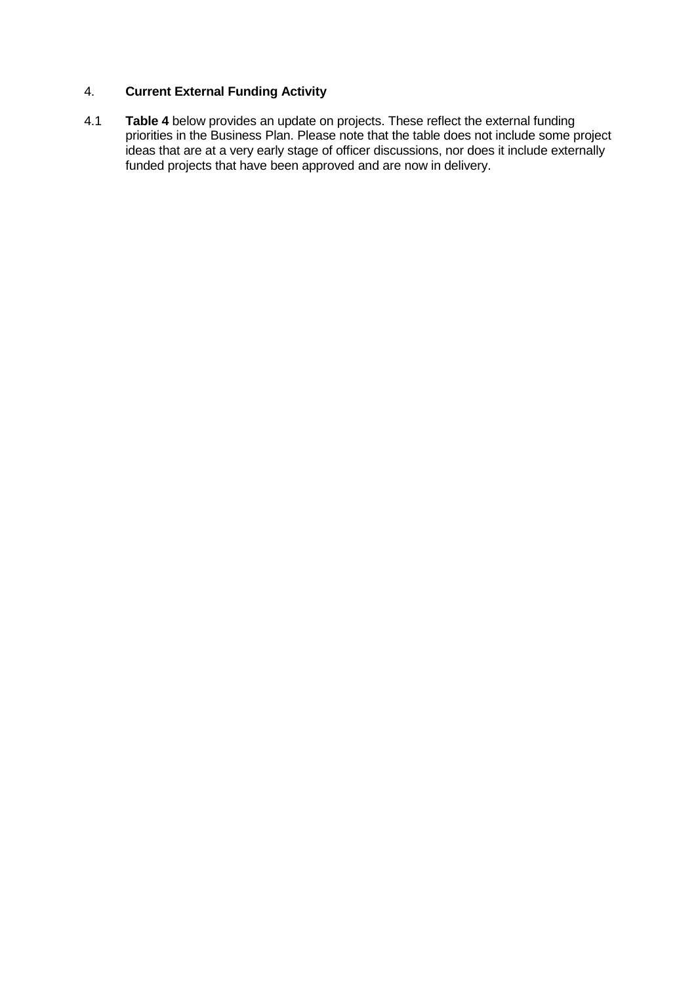## 4. **Current External Funding Activity**

4.1 **Table 4** below provides an update on projects. These reflect the external funding priorities in the Business Plan. Please note that the table does not include some project ideas that are at a very early stage of officer discussions, nor does it include externally funded projects that have been approved and are now in delivery.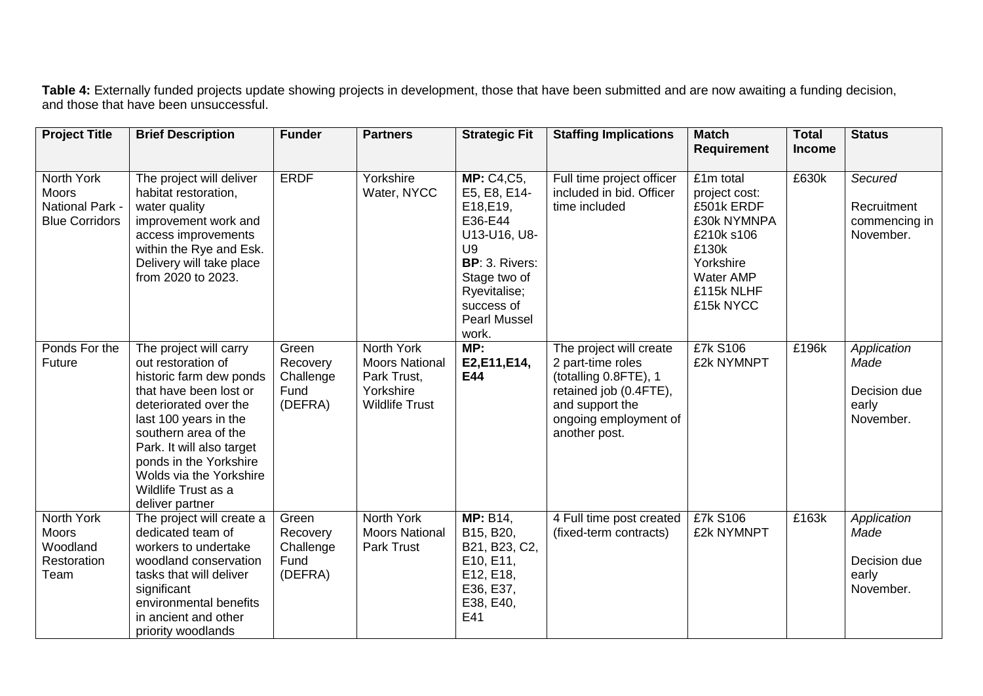**Table 4:** Externally funded projects update showing projects in development, those that have been submitted and are now awaiting a funding decision, and those that have been unsuccessful.

| <b>Project Title</b>                                                   | <b>Brief Description</b>                                                                                                                                                                                                                                                                                | <b>Funder</b>                                     | <b>Partners</b>                                                                          | <b>Strategic Fit</b>                                                                                                                                                            | <b>Staffing Implications</b>                                                                                                                                 | <b>Match</b>                                                                                                                        | <b>Total</b>  | <b>Status</b>                                             |
|------------------------------------------------------------------------|---------------------------------------------------------------------------------------------------------------------------------------------------------------------------------------------------------------------------------------------------------------------------------------------------------|---------------------------------------------------|------------------------------------------------------------------------------------------|---------------------------------------------------------------------------------------------------------------------------------------------------------------------------------|--------------------------------------------------------------------------------------------------------------------------------------------------------------|-------------------------------------------------------------------------------------------------------------------------------------|---------------|-----------------------------------------------------------|
|                                                                        |                                                                                                                                                                                                                                                                                                         |                                                   |                                                                                          |                                                                                                                                                                                 |                                                                                                                                                              | <b>Requirement</b>                                                                                                                  | <b>Income</b> |                                                           |
| North York<br><b>Moors</b><br>National Park -<br><b>Blue Corridors</b> | The project will deliver<br>habitat restoration,<br>water quality<br>improvement work and<br>access improvements<br>within the Rye and Esk.<br>Delivery will take place<br>from 2020 to 2023.                                                                                                           | <b>ERDF</b>                                       | Yorkshire<br>Water, NYCC                                                                 | <b>MP: C4,C5,</b><br>E5, E8, E14-<br>E18, E19,<br>E36-E44<br>U13-U16, U8-<br>U9<br>BP: 3. Rivers:<br>Stage two of<br>Ryevitalise;<br>success of<br><b>Pearl Mussel</b><br>work. | Full time project officer<br>included in bid. Officer<br>time included                                                                                       | £1m total<br>project cost:<br>£501k ERDF<br>£30k NYMNPA<br>£210k s106<br>£130k<br>Yorkshire<br>Water AMP<br>£115k NLHF<br>£15k NYCC | £630k         | Secured<br>Recruitment<br>commencing in<br>November.      |
| Ponds For the<br>Future                                                | The project will carry<br>out restoration of<br>historic farm dew ponds<br>that have been lost or<br>deteriorated over the<br>last 100 years in the<br>southern area of the<br>Park. It will also target<br>ponds in the Yorkshire<br>Wolds via the Yorkshire<br>Wildlife Trust as a<br>deliver partner | Green<br>Recovery<br>Challenge<br>Fund<br>(DEFRA) | North York<br><b>Moors National</b><br>Park Trust,<br>Yorkshire<br><b>Wildlife Trust</b> | MP:<br>E2,E11,E14,<br>E44                                                                                                                                                       | The project will create<br>2 part-time roles<br>(totalling 0.8FTE), 1<br>retained job (0.4FTE),<br>and support the<br>ongoing employment of<br>another post. | £7k S106<br>£2k NYMNPT                                                                                                              | £196k         | Application<br>Made<br>Decision due<br>early<br>November. |
| North York<br><b>Moors</b><br>Woodland<br>Restoration<br>Team          | The project will create a<br>dedicated team of<br>workers to undertake<br>woodland conservation<br>tasks that will deliver<br>significant<br>environmental benefits<br>in ancient and other<br>priority woodlands                                                                                       | Green<br>Recovery<br>Challenge<br>Fund<br>(DEFRA) | North York<br><b>Moors National</b><br><b>Park Trust</b>                                 | <b>MP: B14,</b><br>B15, B20,<br>B21, B23, C2,<br>E10, E11,<br>E12, E18,<br>E36, E37,<br>E38, E40,<br>E41                                                                        | 4 Full time post created<br>(fixed-term contracts)                                                                                                           | £7k S106<br>£2k NYMNPT                                                                                                              | £163k         | Application<br>Made<br>Decision due<br>early<br>November. |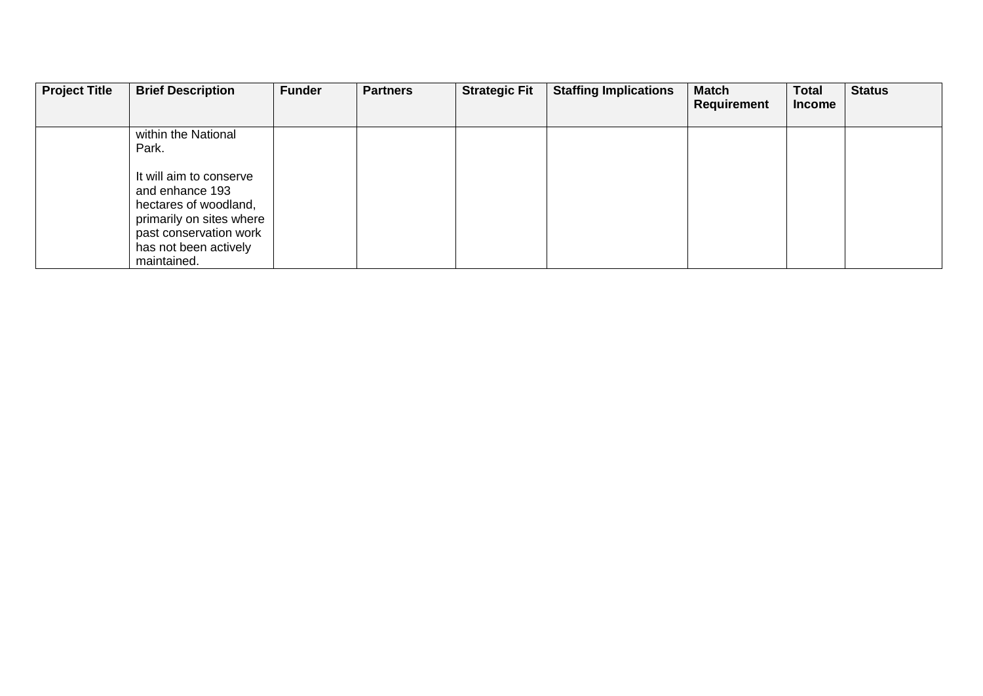| <b>Project Title</b> | <b>Brief Description</b> | <b>Funder</b> | <b>Partners</b> | <b>Strategic Fit</b> | <b>Staffing Implications</b> | <b>Match</b><br><b>Requirement</b> | <b>Total</b><br><b>Income</b> | <b>Status</b> |
|----------------------|--------------------------|---------------|-----------------|----------------------|------------------------------|------------------------------------|-------------------------------|---------------|
|                      | within the National      |               |                 |                      |                              |                                    |                               |               |
|                      | Park.                    |               |                 |                      |                              |                                    |                               |               |
|                      | It will aim to conserve  |               |                 |                      |                              |                                    |                               |               |
|                      | and enhance 193          |               |                 |                      |                              |                                    |                               |               |
|                      | hectares of woodland,    |               |                 |                      |                              |                                    |                               |               |
|                      | primarily on sites where |               |                 |                      |                              |                                    |                               |               |
|                      | past conservation work   |               |                 |                      |                              |                                    |                               |               |
|                      | has not been actively    |               |                 |                      |                              |                                    |                               |               |
|                      | maintained.              |               |                 |                      |                              |                                    |                               |               |